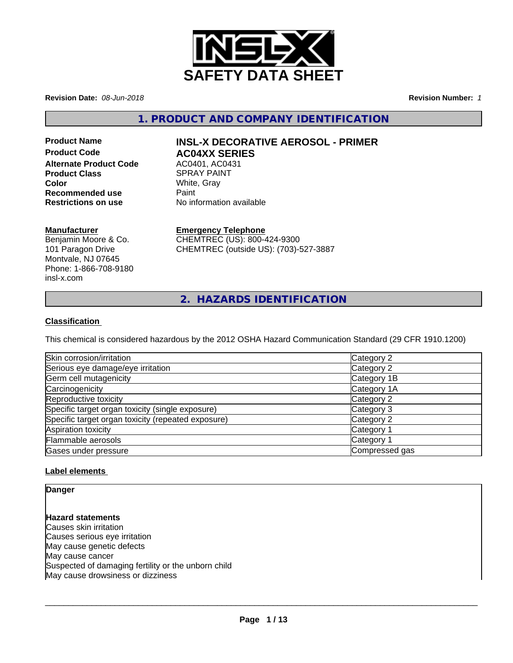

**Revision Date:** *08-Jun-2018* **Revision Number:** *1*

**1. PRODUCT AND COMPANY IDENTIFICATION**

# **Product Code AC04XX SERIES Alternate Product Code** AC0401, AC0431 **Product Class SPRAY PAINT Color** White, Gray<br> **Recommended use** Paint **Recommended use<br>Restrictions on use**

# **Product Name INSL-X DECORATIVE AEROSOL - PRIMER**

**Restrictions on use** No information available

# **Manufacturer**

Benjamin Moore & Co. 101 Paragon Drive Montvale, NJ 07645 Phone: 1-866-708-9180 insl-x.com

# **Emergency Telephone**

CHEMTREC (US): 800-424-9300 CHEMTREC (outside US): (703)-527-3887

**2. HAZARDS IDENTIFICATION**

# **Classification**

This chemical is considered hazardous by the 2012 OSHA Hazard Communication Standard (29 CFR 1910.1200)

| Skin corrosion/irritation                          | Category 2            |
|----------------------------------------------------|-----------------------|
| Serious eye damage/eye irritation                  | Category 2            |
| Germ cell mutagenicity                             | Category 1B           |
| Carcinogenicity                                    | Category 1A           |
| Reproductive toxicity                              | Category 2            |
| Specific target organ toxicity (single exposure)   | Category 3            |
| Specific target organ toxicity (repeated exposure) | Category 2            |
| Aspiration toxicity                                | Category <sup>2</sup> |
| Flammable aerosols                                 | Category <sup>2</sup> |
| Gases under pressure                               | Compressed gas        |

# **Label elements**

**Danger**

**Hazard statements** Causes skin irritation Causes serious eye irritation May cause genetic defects May cause cancer Suspected of damaging fertility or the unborn child May cause drowsiness or dizziness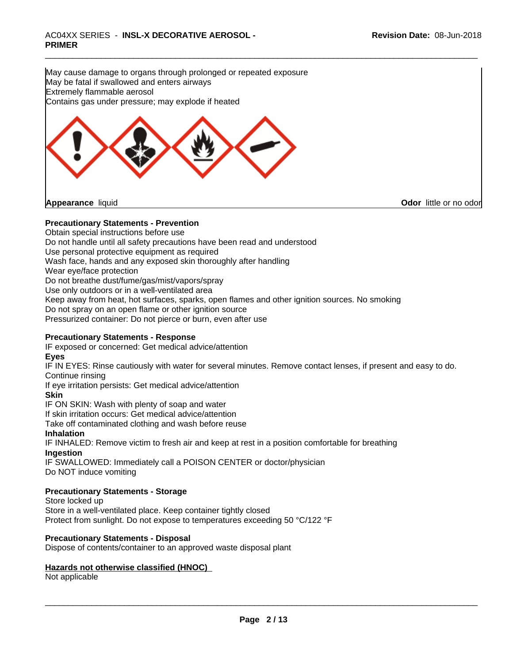May cause damage to organs through prolonged or repeated exposure May be fatal if swallowed and enters airways Extremely flammable aerosol Contains gas under pressure; may explode if heated



**Appearance** liquid **CODO** *Appearance liquid* **Odor**  *CODO CODO* **<b>***CODO CODO CODO CODO CODO CODO CODO CODO CODO CODO CODO CODO CODO CODO CODO CODO CODO* 

# **Precautionary Statements - Prevention**

Obtain special instructions before use

Do not handle until all safety precautions have been read and understood

Use personal protective equipment as required

Wash face, hands and any exposed skin thoroughly after handling

Wear eye/face protection

Do not breathe dust/fume/gas/mist/vapors/spray

Use only outdoors or in a well-ventilated area

Keep away from heat, hot surfaces, sparks, open flames and other ignition sources. No smoking

Do not spray on an open flame or other ignition source

Pressurized container: Do not pierce or burn, even after use

# **Precautionary Statements - Response**

IF exposed or concerned: Get medical advice/attention

# **Eyes**

IF IN EYES: Rinse cautiously with water forseveral minutes. Remove contact lenses, if present and easy to do. Continue rinsing

If eye irritation persists: Get medical advice/attention

# **Skin**

IF ON SKIN: Wash with plenty of soap and water

If skin irritation occurs: Get medical advice/attention

Take off contaminated clothing and wash before reuse

# **Inhalation**

IF INHALED: Remove victim to fresh air and keep at rest in a position comfortable for breathing

# **Ingestion**

IF SWALLOWED: Immediately call a POISON CENTER or doctor/physician Do NOT induce vomiting

# **Precautionary Statements - Storage**

Store locked up Store in a well-ventilated place. Keep container tightly closed Protect from sunlight. Do not expose to temperatures exceeding 50 °C/122 °F

# **Precautionary Statements - Disposal**

Dispose of contents/container to an approved waste disposal plant

# **Hazards not otherwise classified (HNOC)**

Not applicable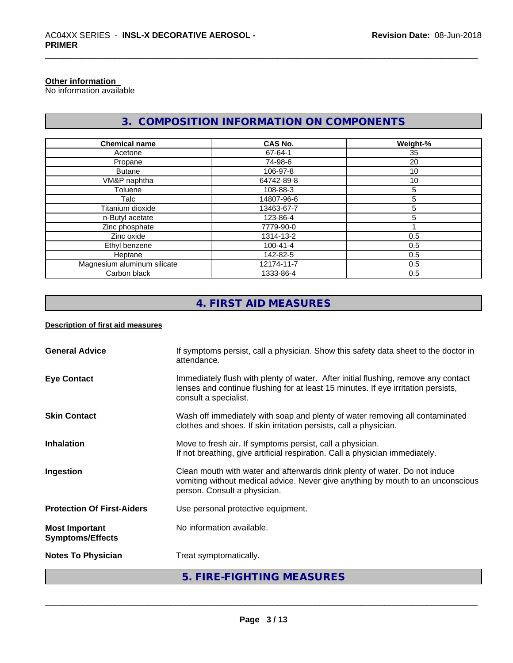# **Other information**

No information available

# **3. COMPOSITION INFORMATION ON COMPONENTS**

| <b>Chemical name</b>        | <b>CAS No.</b> | Weight-% |
|-----------------------------|----------------|----------|
| Acetone                     | 67-64-1        | 35       |
| Propane                     | 74-98-6        | 20       |
| <b>Butane</b>               | 106-97-8       | 10       |
| VM&P naphtha                | 64742-89-8     | 10       |
| Toluene                     | 108-88-3       | 5        |
| Talc                        | 14807-96-6     | 5        |
| Titanium dioxide            | 13463-67-7     | 5        |
| n-Butyl acetate             | 123-86-4       | 5        |
| Zinc phosphate              | 7779-90-0      |          |
| Zinc oxide                  | 1314-13-2      | 0.5      |
| Ethyl benzene               | 100-41-4       | 0.5      |
| Heptane                     | 142-82-5       | 0.5      |
| Magnesium aluminum silicate | 12174-11-7     | 0.5      |
| Carbon black                | 1333-86-4      | 0.5      |

# **4. FIRST AID MEASURES**

# **Description of first aid measures**

| Immediately flush with plenty of water. After initial flushing, remove any contact<br><b>Eye Contact</b><br>lenses and continue flushing for at least 15 minutes. If eye irritation persists,<br>consult a specialist.<br>Wash off immediately with soap and plenty of water removing all contaminated<br><b>Skin Contact</b><br>clothes and shoes. If skin irritation persists, call a physician.<br>Move to fresh air. If symptoms persist, call a physician.<br><b>Inhalation</b><br>If not breathing, give artificial respiration. Call a physician immediately.<br>Clean mouth with water and afterwards drink plenty of water. Do not induce<br>Ingestion<br>vomiting without medical advice. Never give anything by mouth to an unconscious<br>person. Consult a physician.<br><b>Protection Of First-Aiders</b><br>Use personal protective equipment.<br>No information available.<br><b>Most Important</b><br><b>Symptoms/Effects</b><br>Treat symptomatically.<br><b>Notes To Physician</b> | 5. FIRE-FIGHTING MEASURES |  |
|-------------------------------------------------------------------------------------------------------------------------------------------------------------------------------------------------------------------------------------------------------------------------------------------------------------------------------------------------------------------------------------------------------------------------------------------------------------------------------------------------------------------------------------------------------------------------------------------------------------------------------------------------------------------------------------------------------------------------------------------------------------------------------------------------------------------------------------------------------------------------------------------------------------------------------------------------------------------------------------------------------|---------------------------|--|
|                                                                                                                                                                                                                                                                                                                                                                                                                                                                                                                                                                                                                                                                                                                                                                                                                                                                                                                                                                                                       |                           |  |
|                                                                                                                                                                                                                                                                                                                                                                                                                                                                                                                                                                                                                                                                                                                                                                                                                                                                                                                                                                                                       |                           |  |
|                                                                                                                                                                                                                                                                                                                                                                                                                                                                                                                                                                                                                                                                                                                                                                                                                                                                                                                                                                                                       |                           |  |
|                                                                                                                                                                                                                                                                                                                                                                                                                                                                                                                                                                                                                                                                                                                                                                                                                                                                                                                                                                                                       |                           |  |
|                                                                                                                                                                                                                                                                                                                                                                                                                                                                                                                                                                                                                                                                                                                                                                                                                                                                                                                                                                                                       |                           |  |
|                                                                                                                                                                                                                                                                                                                                                                                                                                                                                                                                                                                                                                                                                                                                                                                                                                                                                                                                                                                                       |                           |  |
|                                                                                                                                                                                                                                                                                                                                                                                                                                                                                                                                                                                                                                                                                                                                                                                                                                                                                                                                                                                                       |                           |  |
| <b>General Advice</b><br>If symptoms persist, call a physician. Show this safety data sheet to the doctor in<br>attendance.                                                                                                                                                                                                                                                                                                                                                                                                                                                                                                                                                                                                                                                                                                                                                                                                                                                                           |                           |  |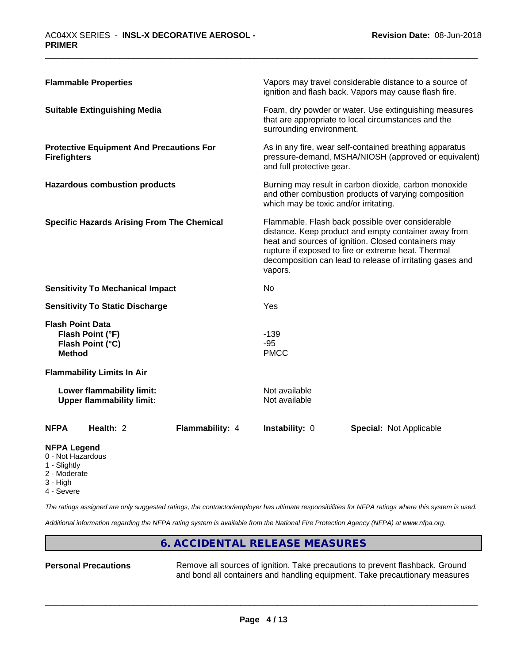| <b>Flammable Properties</b>                                                      | Vapors may travel considerable distance to a source of<br>ignition and flash back. Vapors may cause flash fire.                                                                                                                                                                                |
|----------------------------------------------------------------------------------|------------------------------------------------------------------------------------------------------------------------------------------------------------------------------------------------------------------------------------------------------------------------------------------------|
| <b>Suitable Extinguishing Media</b>                                              | Foam, dry powder or water. Use extinguishing measures<br>that are appropriate to local circumstances and the<br>surrounding environment.                                                                                                                                                       |
| <b>Protective Equipment And Precautions For</b><br><b>Firefighters</b>           | As in any fire, wear self-contained breathing apparatus<br>pressure-demand, MSHA/NIOSH (approved or equivalent)<br>and full protective gear.                                                                                                                                                   |
| <b>Hazardous combustion products</b>                                             | Burning may result in carbon dioxide, carbon monoxide<br>and other combustion products of varying composition<br>which may be toxic and/or irritating.                                                                                                                                         |
| <b>Specific Hazards Arising From The Chemical</b>                                | Flammable. Flash back possible over considerable<br>distance. Keep product and empty container away from<br>heat and sources of ignition. Closed containers may<br>rupture if exposed to fire or extreme heat. Thermal<br>decomposition can lead to release of irritating gases and<br>vapors. |
| <b>Sensitivity To Mechanical Impact</b>                                          | No.                                                                                                                                                                                                                                                                                            |
| <b>Sensitivity To Static Discharge</b>                                           | Yes                                                                                                                                                                                                                                                                                            |
| <b>Flash Point Data</b><br>Flash Point (°F)<br>Flash Point (°C)<br><b>Method</b> | $-139$<br>$-95$<br><b>PMCC</b>                                                                                                                                                                                                                                                                 |
| <b>Flammability Limits In Air</b>                                                |                                                                                                                                                                                                                                                                                                |
| Lower flammability limit:<br><b>Upper flammability limit:</b>                    | Not available<br>Not available                                                                                                                                                                                                                                                                 |
| Health: 2<br><b>Flammability: 4</b><br><b>NFPA</b>                               | <b>Instability: 0</b><br><b>Special: Not Applicable</b>                                                                                                                                                                                                                                        |

# **NFPA Legend**

- 0 Not Hazardous
- 1 Slightly
- 2 Moderate
- 3 High
- 4 Severe

*The ratings assigned are only suggested ratings, the contractor/employer has ultimate responsibilities for NFPA ratings where this system is used.*

*Additional information regarding the NFPA rating system is available from the National Fire Protection Agency (NFPA) at www.nfpa.org.*

# **6. ACCIDENTAL RELEASE MEASURES**

**Personal Precautions** Remove all sources of ignition. Take precautions to prevent flashback. Ground and bond all containers and handling equipment. Take precautionary measures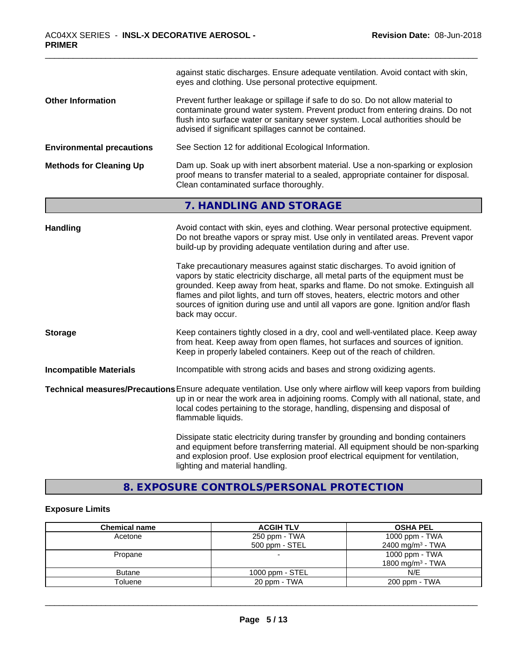|                                  | against static discharges. Ensure adequate ventilation. Avoid contact with skin,<br>eyes and clothing. Use personal protective equipment.                                                                                                                                                                                                                                                                                                      |  |
|----------------------------------|------------------------------------------------------------------------------------------------------------------------------------------------------------------------------------------------------------------------------------------------------------------------------------------------------------------------------------------------------------------------------------------------------------------------------------------------|--|
| <b>Other Information</b>         | Prevent further leakage or spillage if safe to do so. Do not allow material to<br>contaminate ground water system. Prevent product from entering drains. Do not<br>flush into surface water or sanitary sewer system. Local authorities should be<br>advised if significant spillages cannot be contained.                                                                                                                                     |  |
| <b>Environmental precautions</b> | See Section 12 for additional Ecological Information.                                                                                                                                                                                                                                                                                                                                                                                          |  |
| <b>Methods for Cleaning Up</b>   | Dam up. Soak up with inert absorbent material. Use a non-sparking or explosion<br>proof means to transfer material to a sealed, appropriate container for disposal.<br>Clean contaminated surface thoroughly.                                                                                                                                                                                                                                  |  |
|                                  | 7. HANDLING AND STORAGE                                                                                                                                                                                                                                                                                                                                                                                                                        |  |
| Handling                         | Avoid contact with skin, eyes and clothing. Wear personal protective equipment.<br>Do not breathe vapors or spray mist. Use only in ventilated areas. Prevent vapor<br>build-up by providing adequate ventilation during and after use.                                                                                                                                                                                                        |  |
|                                  | Take precautionary measures against static discharges. To avoid ignition of<br>vapors by static electricity discharge, all metal parts of the equipment must be<br>grounded. Keep away from heat, sparks and flame. Do not smoke. Extinguish all<br>flames and pilot lights, and turn off stoves, heaters, electric motors and other<br>sources of ignition during use and until all vapors are gone. Ignition and/or flash<br>back may occur. |  |
| <b>Storage</b>                   | Keep containers tightly closed in a dry, cool and well-ventilated place. Keep away<br>from heat. Keep away from open flames, hot surfaces and sources of ignition.<br>Keep in properly labeled containers. Keep out of the reach of children.                                                                                                                                                                                                  |  |
| <b>Incompatible Materials</b>    | Incompatible with strong acids and bases and strong oxidizing agents.                                                                                                                                                                                                                                                                                                                                                                          |  |
|                                  | Technical measures/Precautions Ensure adequate ventilation. Use only where airflow will keep vapors from building<br>up in or near the work area in adjoining rooms. Comply with all national, state, and<br>local codes pertaining to the storage, handling, dispensing and disposal of<br>flammable liquids.                                                                                                                                 |  |
|                                  | Dissipate static electricity during transfer by grounding and bonding containers<br>and equipment before transferring material. All equipment should be non-sparking<br>and explosion proof. Use explosion proof electrical equipment for ventilation,                                                                                                                                                                                         |  |

# **8. EXPOSURE CONTROLS/PERSONAL PROTECTION**

lighting and material handling.

# **Exposure Limits**

| <b>Chemical name</b> | <b>ACGIH TLV</b> | <b>OSHA PEL</b>              |
|----------------------|------------------|------------------------------|
| Acetone              | 250 ppm - TWA    | 1000 ppm - TWA               |
|                      | 500 ppm - STEL   | 2400 mg/m <sup>3</sup> - TWA |
| Propane              |                  | 1000 ppm - TWA               |
|                      |                  | 1800 mg/m <sup>3</sup> - TWA |
| <b>Butane</b>        | 1000 ppm - STEL  | N/E                          |
| Toluene              | 20 ppm - TWA     | 200 ppm - TWA                |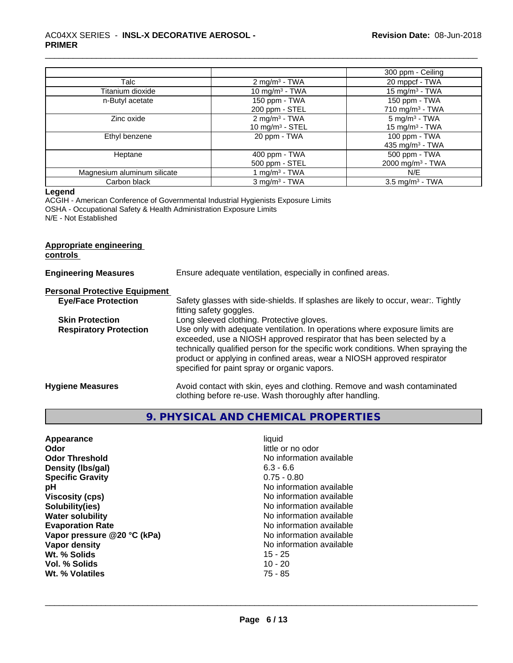|                             |                             | 300 ppm - Ceiling            |
|-----------------------------|-----------------------------|------------------------------|
| Talc                        | 2 mg/m <sup>3</sup> - TWA   | 20 mppcf - TWA               |
| Titanium dioxide            | 10 mg/m $3$ - TWA           | 15 mg/m $3$ - TWA            |
| n-Butyl acetate             | 150 ppm - TWA               | 150 ppm - TWA                |
|                             | 200 ppm - STEL              | 710 mg/m $3$ - TWA           |
| Zinc oxide                  | $2 \text{ mg/m}^3$ - TWA    | $5 \text{ mg/m}^3$ - TWA     |
|                             | 10 mg/m $3 -$ STEL          | 15 mg/m $3$ - TWA            |
| Ethyl benzene               | 20 ppm - TWA                | 100 ppm - TWA                |
|                             |                             | 435 mg/m $3$ - TWA           |
| Heptane                     | 400 ppm - TWA               | 500 ppm - TWA                |
|                             | 500 ppm - STEL              | 2000 mg/m <sup>3</sup> - TWA |
| Magnesium aluminum silicate | 1 mg/m <sup>3</sup> - TWA   | N/E                          |
| Carbon black                | $3$ mg/m <sup>3</sup> - TWA | $3.5 \text{ mg/m}^3$ - TWA   |

# **Legend**

ACGIH - American Conference of Governmental Industrial Hygienists Exposure Limits OSHA - Occupational Safety & Health Administration Exposure Limits N/E - Not Established

# **Appropriate engineering**

**controls** 

| <b>Engineering Measures</b>          | Ensure adequate ventilation, especially in confined areas.                                                                                                                                                                                                                                                                                                          |  |  |
|--------------------------------------|---------------------------------------------------------------------------------------------------------------------------------------------------------------------------------------------------------------------------------------------------------------------------------------------------------------------------------------------------------------------|--|--|
| <b>Personal Protective Equipment</b> |                                                                                                                                                                                                                                                                                                                                                                     |  |  |
| <b>Eye/Face Protection</b>           | Safety glasses with side-shields. If splashes are likely to occur, wear:. Tightly<br>fitting safety goggles.                                                                                                                                                                                                                                                        |  |  |
| <b>Skin Protection</b>               | Long sleeved clothing. Protective gloves.                                                                                                                                                                                                                                                                                                                           |  |  |
| <b>Respiratory Protection</b>        | Use only with adequate ventilation. In operations where exposure limits are<br>exceeded, use a NIOSH approved respirator that has been selected by a<br>technically qualified person for the specific work conditions. When spraying the<br>product or applying in confined areas, wear a NIOSH approved respirator<br>specified for paint spray or organic vapors. |  |  |
| <b>Hygiene Measures</b>              | Avoid contact with skin, eyes and clothing. Remove and wash contaminated<br>clothing before re-use. Wash thoroughly after handling.                                                                                                                                                                                                                                 |  |  |

# **9. PHYSICAL AND CHEMICAL PROPERTIES**

| liquid<br>little or no odor<br>No information available<br>$6.3 - 6.6$<br>$0.75 - 0.80$<br>No information available<br>No information available<br>No information available<br>No information available<br>No information available<br>No information available<br>No information available<br>$15 - 25$ |
|----------------------------------------------------------------------------------------------------------------------------------------------------------------------------------------------------------------------------------------------------------------------------------------------------------|
| $10 - 20$<br>$75 - 85$                                                                                                                                                                                                                                                                                   |
|                                                                                                                                                                                                                                                                                                          |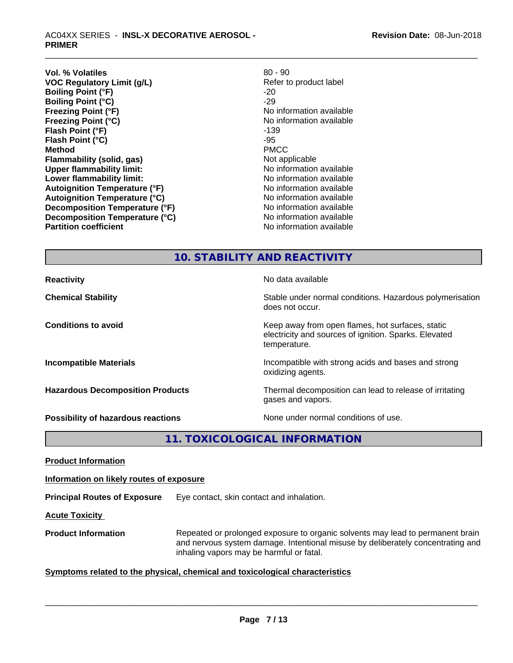**Vol. % Volatiles**<br> **VOC Regulatory Limit (g/L)**<br> **VOC Regulatory Limit (g/L)**<br> **Example 20 - Secure 20 - Secure 20 - Secure 20 - Secure 20 - Secure 20 - Secure 20 - Secure 20 - Secure 20 - Secure 20 - Secure 20 - Secure 2 VOC** Regulatory Limit (g/L) **Boiling Point (°F)** -20<br> **Boiling Point (°C)** -29 **Boiling Point (°C)**<br>Freezing Point (°F) **Freezing Point (°C)** The Contraction available No information available **Flash Point (°F)** -139 **Flash Point (°C)**  $-95$ <br> **Method** PMCC **Method** PMCC **Flammability (solid, gas)** Not applicable **Upper flammability limit:** No information available **Lower flammability limit:**  $\qquad \qquad \qquad \text{No information available}$ **Autoignition Temperature (°F)**<br> **Autoignition Temperature (°C)** No information available **Autoignition Temperature (°C)**<br> **Decomposition Temperature (°F)** No information available **Decomposition Temperature (°F) Decomposition Temperature (°C)**<br> **Partition coefficient**<br> **Partition coefficient**<br> **No** information available

**No information available No information available** 

# **10. STABILITY AND REACTIVITY**

| <b>Reactivity</b>                         | No data available                                                                                                         |
|-------------------------------------------|---------------------------------------------------------------------------------------------------------------------------|
| <b>Chemical Stability</b>                 | Stable under normal conditions. Hazardous polymerisation<br>does not occur.                                               |
| <b>Conditions to avoid</b>                | Keep away from open flames, hot surfaces, static<br>electricity and sources of ignition. Sparks. Elevated<br>temperature. |
| <b>Incompatible Materials</b>             | Incompatible with strong acids and bases and strong<br>oxidizing agents.                                                  |
| <b>Hazardous Decomposition Products</b>   | Thermal decomposition can lead to release of irritating<br>gases and vapors.                                              |
| <b>Possibility of hazardous reactions</b> | None under normal conditions of use.                                                                                      |

**11. TOXICOLOGICAL INFORMATION**

**Product Information**

**Information on likely routes of exposure**

**Principal Routes of Exposure** Eye contact, skin contact and inhalation.

**Acute Toxicity** 

**Product Information** Repeated or prolonged exposure to organic solvents may lead to permanent brain and nervous system damage. Intentional misuse by deliberately concentrating and inhaling vapors may be harmful or fatal.

# **Symptoms related to the physical,chemical and toxicological characteristics**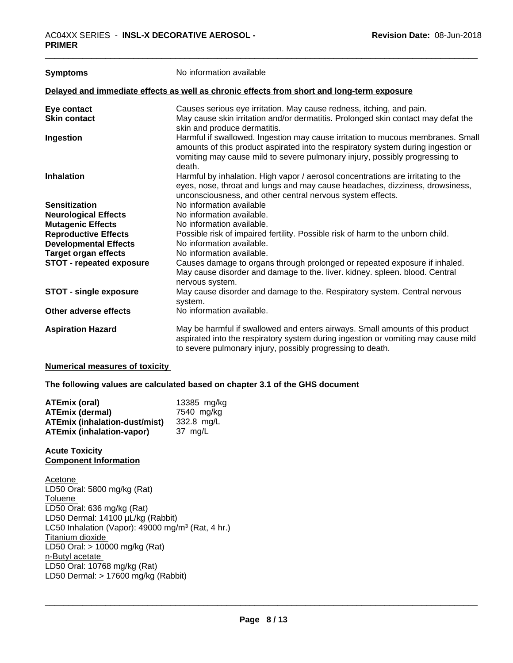| <b>Symptoms</b>                                                                            | No information available                                                                                                                                                                                                                                      |  |
|--------------------------------------------------------------------------------------------|---------------------------------------------------------------------------------------------------------------------------------------------------------------------------------------------------------------------------------------------------------------|--|
| Delayed and immediate effects as well as chronic effects from short and long-term exposure |                                                                                                                                                                                                                                                               |  |
| Eye contact                                                                                | Causes serious eye irritation. May cause redness, itching, and pain.                                                                                                                                                                                          |  |
| <b>Skin contact</b>                                                                        | May cause skin irritation and/or dermatitis. Prolonged skin contact may defat the<br>skin and produce dermatitis.                                                                                                                                             |  |
| Ingestion                                                                                  | Harmful if swallowed. Ingestion may cause irritation to mucous membranes. Small<br>amounts of this product aspirated into the respiratory system during ingestion or<br>vomiting may cause mild to severe pulmonary injury, possibly progressing to<br>death. |  |
| <b>Inhalation</b>                                                                          | Harmful by inhalation. High vapor / aerosol concentrations are irritating to the<br>eyes, nose, throat and lungs and may cause headaches, dizziness, drowsiness,<br>unconsciousness, and other central nervous system effects.                                |  |
| <b>Sensitization</b>                                                                       | No information available                                                                                                                                                                                                                                      |  |
| <b>Neurological Effects</b>                                                                | No information available.                                                                                                                                                                                                                                     |  |
| <b>Mutagenic Effects</b>                                                                   | No information available.                                                                                                                                                                                                                                     |  |
| <b>Reproductive Effects</b>                                                                | Possible risk of impaired fertility. Possible risk of harm to the unborn child.                                                                                                                                                                               |  |
| <b>Developmental Effects</b>                                                               | No information available.                                                                                                                                                                                                                                     |  |
| <b>Target organ effects</b>                                                                | No information available.                                                                                                                                                                                                                                     |  |
| <b>STOT - repeated exposure</b>                                                            | Causes damage to organs through prolonged or repeated exposure if inhaled.<br>May cause disorder and damage to the. liver. kidney. spleen. blood. Central<br>nervous system.                                                                                  |  |
| <b>STOT - single exposure</b>                                                              | May cause disorder and damage to the. Respiratory system. Central nervous<br>system.                                                                                                                                                                          |  |
| Other adverse effects                                                                      | No information available.                                                                                                                                                                                                                                     |  |
| <b>Aspiration Hazard</b>                                                                   | May be harmful if swallowed and enters airways. Small amounts of this product<br>aspirated into the respiratory system during ingestion or vomiting may cause mild<br>to severe pulmonary injury, possibly progressing to death.                              |  |

#### **Numerical measures of toxicity**

**The following values are calculated based on chapter 3.1 of the GHS document**

| <b>ATEmix (oral)</b>                 | 13385 mg/kg |
|--------------------------------------|-------------|
| <b>ATEmix (dermal)</b>               | 7540 mg/kg  |
| <b>ATEmix (inhalation-dust/mist)</b> | 332.8 ma/L  |
| <b>ATEmix (inhalation-vapor)</b>     | 37 mg/L     |

# **Acute Toxicity Component Information**

Acetone LD50 Oral: 5800 mg/kg (Rat) **Toluene** LD50 Oral: 636 mg/kg (Rat) LD50 Dermal: 14100 µL/kg (Rabbit) LC50 Inhalation (Vapor): 49000 mg/m<sup>3</sup> (Rat, 4 hr.) Titanium dioxide LD50 Oral: > 10000 mg/kg (Rat) n-Butyl acetate LD50 Oral: 10768 mg/kg (Rat) LD50 Dermal: > 17600 mg/kg (Rabbit)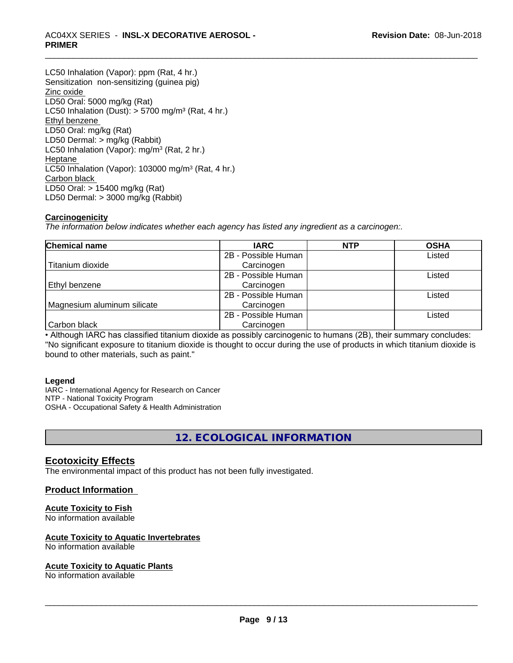# \_\_\_\_\_\_\_\_\_\_\_\_\_\_\_\_\_\_\_\_\_\_\_\_\_\_\_\_\_\_\_\_\_\_\_\_\_\_\_\_\_\_\_\_\_\_\_\_\_\_\_\_\_\_\_\_\_\_\_\_\_\_\_\_\_\_\_\_\_\_\_\_\_\_\_\_\_\_\_\_\_\_\_\_\_\_\_\_\_\_\_\_\_ AC04XX SERIES - **INSL-X DECORATIVE AEROSOL - PRIMER**

LC50 Inhalation (Vapor): ppm (Rat, 4 hr.) Sensitization non-sensitizing (guinea pig) Zinc oxide LD50 Oral: 5000 mg/kg (Rat) LC50 Inhalation (Dust):  $> 5700$  mg/m<sup>3</sup> (Rat, 4 hr.) Ethyl benzene LD50 Oral: mg/kg (Rat) LD50 Dermal: > mg/kg (Rabbit) LC50 Inhalation (Vapor): mg/m<sup>3</sup> (Rat, 2 hr.) Heptane LC50 Inhalation (Vapor): 103000 mg/m<sup>3</sup> (Rat, 4 hr.) Carbon black LD50 Oral: > 15400 mg/kg (Rat) LD50 Dermal: > 3000 mg/kg (Rabbit)

# **Carcinogenicity**

*The information below indicateswhether each agency has listed any ingredient as a carcinogen:.*

| <b>Chemical name</b>        | <b>IARC</b>         | <b>NTP</b> | <b>OSHA</b> |
|-----------------------------|---------------------|------------|-------------|
|                             | 2B - Possible Human |            | Listed      |
| Titanium dioxide            | Carcinogen          |            |             |
|                             | 2B - Possible Human |            | Listed      |
| Ethyl benzene               | Carcinogen          |            |             |
|                             | 2B - Possible Human |            | Listed      |
| Magnesium aluminum silicate | Carcinogen          |            |             |
|                             | 2B - Possible Human |            | Listed      |
| Carbon black                | Carcinogen          |            |             |

• Although IARC has classified titanium dioxide as possibly carcinogenic to humans (2B), their summary concludes: "No significant exposure to titanium dioxide is thought to occur during the use of products in which titanium dioxide is bound to other materials, such as paint."

# **Legend**

IARC - International Agency for Research on Cancer NTP - National Toxicity Program OSHA - Occupational Safety & Health Administration

**12. ECOLOGICAL INFORMATION**

# **Ecotoxicity Effects**

The environmental impact of this product has not been fully investigated.

# **Product Information**

# **Acute Toxicity to Fish**

No information available

# **Acute Toxicity to Aquatic Invertebrates**

No information available

# **Acute Toxicity to Aquatic Plants**

No information available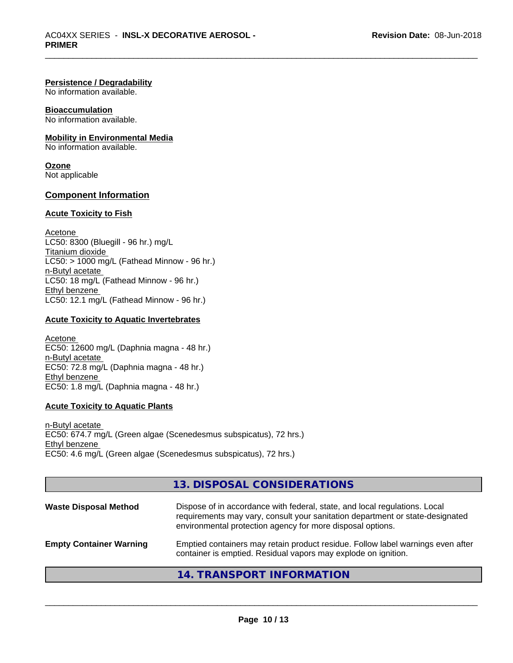# **Persistence / Degradability**

No information available.

# **Bioaccumulation**

No information available.

# **Mobility in Environmental Media**

No information available.

#### **Ozone** Not applicable

# **Component Information**

# **Acute Toxicity to Fish**

Acetone LC50: 8300 (Bluegill - 96 hr.) mg/L Titanium dioxide  $LC50:$  > 1000 mg/L (Fathead Minnow - 96 hr.) n-Butyl acetate LC50: 18 mg/L (Fathead Minnow - 96 hr.) Ethyl benzene LC50: 12.1 mg/L (Fathead Minnow - 96 hr.)

# **Acute Toxicity to Aquatic Invertebrates**

Acetone EC50: 12600 mg/L (Daphnia magna - 48 hr.) n-Butyl acetate EC50: 72.8 mg/L (Daphnia magna - 48 hr.) Ethyl benzene EC50: 1.8 mg/L (Daphnia magna - 48 hr.)

# **Acute Toxicity to Aquatic Plants**

n-Butyl acetate EC50: 674.7 mg/L (Green algae (Scenedesmus subspicatus), 72 hrs.) Ethyl benzene EC50: 4.6 mg/L (Green algae (Scenedesmus subspicatus), 72 hrs.)

# **13. DISPOSAL CONSIDERATIONS** Waste Disposal Method Dispose of in accordance with federal, state, and local regulations. Local requirements may vary, consult your sanitation department or state-designated environmental protection agency for more disposal options. **Empty Container Warning** Emptied containers may retain product residue. Follow label warnings even after container is emptied. Residual vapors may explode on ignition.

# **14. TRANSPORT INFORMATION**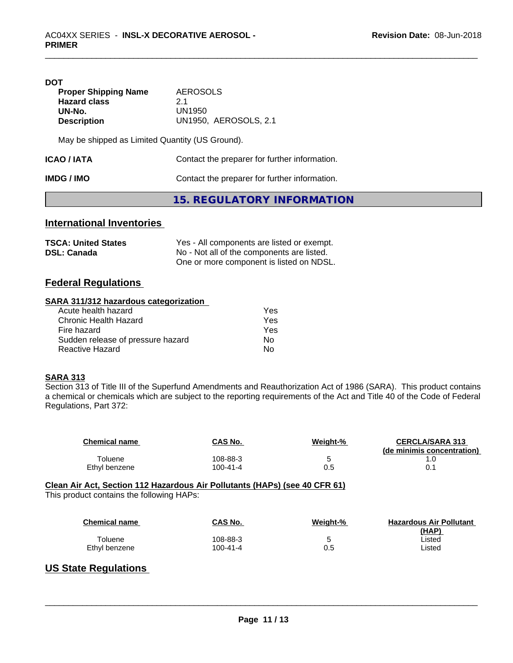| DOT<br><b>Proper Shipping Name</b><br><b>Hazard class</b><br>UN-No.<br><b>Description</b> | AEROSOLS<br>21<br>UN1950<br><b>UN1950, AEROSOLS, 2.1</b> |
|-------------------------------------------------------------------------------------------|----------------------------------------------------------|
| May be shipped as Limited Quantity (US Ground).                                           |                                                          |
| Contact the preparer for further information.<br>ICAO / IATA                              |                                                          |
| IMDG / IMO                                                                                | Contact the preparer for further information.            |

**15. REGULATORY INFORMATION**

# **International Inventories**

| <b>TSCA: United States</b> | Yes - All components are listed or exempt. |
|----------------------------|--------------------------------------------|
| <b>DSL: Canada</b>         | No - Not all of the components are listed. |
|                            | One or more component is listed on NDSL.   |

# **Federal Regulations**

# **SARA 311/312 hazardous categorization**

| Acute health hazard               | Yes |  |
|-----------------------------------|-----|--|
| Chronic Health Hazard             | Yes |  |
| Fire hazard                       | Yes |  |
| Sudden release of pressure hazard | Nο  |  |
| Reactive Hazard                   | Nο  |  |

# **SARA 313**

Section 313 of Title III of the Superfund Amendments and Reauthorization Act of 1986 (SARA). This product contains a chemical or chemicals which are subject to the reporting requirements of the Act and Title 40 of the Code of Federal Regulations, Part 372:

| <b>Chemical name</b> | <b>CAS No.</b> | Weight-% | <b>CERCLA/SARA 313</b><br>(de minimis concentration) |
|----------------------|----------------|----------|------------------------------------------------------|
| ⊤oluene              | 108-88-3       |          |                                                      |
| Ethyl benzene        | $100 - 41 - 4$ | u.u      |                                                      |

#### **Clean Air Act,Section 112 Hazardous Air Pollutants (HAPs) (see 40 CFR 61)** This product contains the following HAPs:

| This product contains the following HAPs: |  |  |
|-------------------------------------------|--|--|
|-------------------------------------------|--|--|

| <b>Chemical name</b> | CAS No.  | Weight-% | <b>Hazardous Air Pollutant</b><br>(HAP) |
|----------------------|----------|----------|-----------------------------------------|
| Toluene              | 108-88-3 | b        | ∟isted                                  |
| Ethyl benzene        | 100-41-4 | 0.5      | ∟isted                                  |

 $\overline{\phantom{a}}$  ,  $\overline{\phantom{a}}$  ,  $\overline{\phantom{a}}$  ,  $\overline{\phantom{a}}$  ,  $\overline{\phantom{a}}$  ,  $\overline{\phantom{a}}$  ,  $\overline{\phantom{a}}$  ,  $\overline{\phantom{a}}$  ,  $\overline{\phantom{a}}$  ,  $\overline{\phantom{a}}$  ,  $\overline{\phantom{a}}$  ,  $\overline{\phantom{a}}$  ,  $\overline{\phantom{a}}$  ,  $\overline{\phantom{a}}$  ,  $\overline{\phantom{a}}$  ,  $\overline{\phantom{a}}$ 

# **US State Regulations**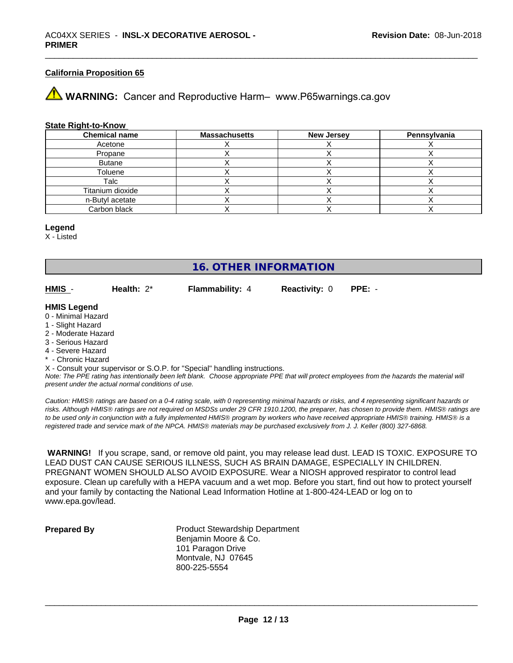# **California Proposition 65**

**WARNING:** Cancer and Reproductive Harm– www.P65warnings.ca.gov

#### **State Right-to-Know**

| <b>Chemical name</b> | <b>Massachusetts</b> | <b>New Jersey</b> | Pennsylvania |
|----------------------|----------------------|-------------------|--------------|
| Acetone              |                      |                   |              |
| Propane              |                      |                   |              |
| <b>Butane</b>        |                      |                   |              |
| Toluene              |                      |                   |              |
| Talc                 |                      |                   |              |
| Titanium dioxide     |                      |                   |              |
| n-Butyl acetate      |                      |                   |              |
| Carbon black         |                      |                   |              |

#### **Legend**

X - Listed

# **16. OTHER INFORMATION**

**HMIS** - **Health:** 2\* **Flammability:** 4 **Reactivity:** 0 **PPE:** -

#### **HMIS Legend**

- 0 Minimal Hazard
- 1 Slight Hazard
- 2 Moderate Hazard
- 3 Serious Hazard
- 4 Severe Hazard
- \* Chronic Hazard
- X Consult your supervisor or S.O.P. for "Special" handling instructions.

*Note: The PPE rating has intentionally been left blank. Choose appropriate PPE that will protect employees from the hazards the material will present under the actual normal conditions of use.*

*Caution: HMISÒ ratings are based on a 0-4 rating scale, with 0 representing minimal hazards or risks, and 4 representing significant hazards or risks. Although HMISÒ ratings are not required on MSDSs under 29 CFR 1910.1200, the preparer, has chosen to provide them. HMISÒ ratings are to be used only in conjunction with a fully implemented HMISÒ program by workers who have received appropriate HMISÒ training. HMISÒ is a registered trade and service mark of the NPCA. HMISÒ materials may be purchased exclusively from J. J. Keller (800) 327-6868.*

 **WARNING!** If you scrape, sand, or remove old paint, you may release lead dust. LEAD IS TOXIC. EXPOSURE TO LEAD DUST CAN CAUSE SERIOUS ILLNESS, SUCH AS BRAIN DAMAGE, ESPECIALLY IN CHILDREN. PREGNANT WOMEN SHOULD ALSO AVOID EXPOSURE.Wear a NIOSH approved respirator to control lead exposure. Clean up carefully with a HEPA vacuum and a wet mop. Before you start, find out how to protect yourself and your family by contacting the National Lead Information Hotline at 1-800-424-LEAD or log on to www.epa.gov/lead.

**Prepared By** Product Stewardship Department Benjamin Moore & Co. 101 Paragon Drive Montvale, NJ 07645 800-225-5554